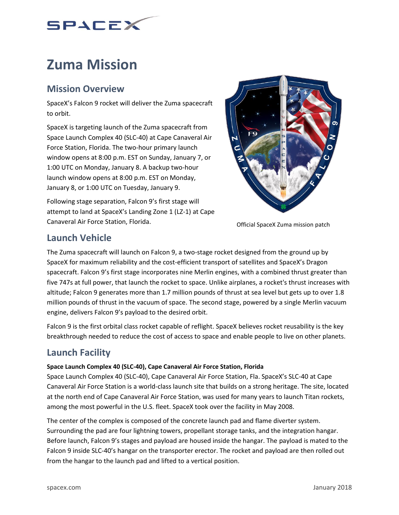

# **Zuma Mission**

## **Mission Overview**

SpaceX's Falcon 9 rocket will deliver the Zuma spacecraft to orbit.

SpaceX is targeting launch of the Zuma spacecraft from Space Launch Complex 40 (SLC-40) at Cape Canaveral Air Force Station, Florida. The two-hour primary launch window opens at 8:00 p.m. EST on Sunday, January 7, or 1:00 UTC on Monday, January 8. A backup two-hour launch window opens at 8:00 p.m. EST on Monday, January 8, or 1:00 UTC on Tuesday, January 9.

Following stage separation, Falcon 9's first stage will attempt to land at SpaceX's Landing Zone 1 (LZ-1) at Cape Canaveral Air Force Station, Florida.



Official SpaceX Zuma mission patch

## **Launch Vehicle**

The Zuma spacecraft will launch on Falcon 9, a two-stage rocket designed from the ground up by SpaceX for maximum reliability and the cost-efficient transport of satellites and SpaceX's Dragon spacecraft. Falcon 9's first stage incorporates nine Merlin engines, with a combined thrust greater than five 747s at full power, that launch the rocket to space. Unlike airplanes, a rocket's thrust increases with altitude; Falcon 9 generates more than 1.7 million pounds of thrust at sea level but gets up to over 1.8 million pounds of thrust in the vacuum of space. The second stage, powered by a single Merlin vacuum engine, delivers Falcon 9's payload to the desired orbit.

Falcon 9 is the first orbital class rocket capable of reflight. SpaceX believes rocket reusability is the key breakthrough needed to reduce the cost of access to space and enable people to live on other planets.

# **Launch Facility**

#### **Space Launch Complex 40 (SLC-40), Cape Canaveral Air Force Station, Florida**

Space Launch Complex 40 (SLC-40), Cape Canaveral Air Force Station, Fla. SpaceX's SLC-40 at Cape Canaveral Air Force Station is a world-class launch site that builds on a strong heritage. The site, located at the north end of Cape Canaveral Air Force Station, was used for many years to launch Titan rockets, among the most powerful in the U.S. fleet. SpaceX took over the facility in May 2008.

The center of the complex is composed of the concrete launch pad and flame diverter system. Surrounding the pad are four lightning towers, propellant storage tanks, and the integration hangar. Before launch, Falcon 9's stages and payload are housed inside the hangar. The payload is mated to the Falcon 9 inside SLC-40's hangar on the transporter erector. The rocket and payload are then rolled out from the hangar to the launch pad and lifted to a vertical position.